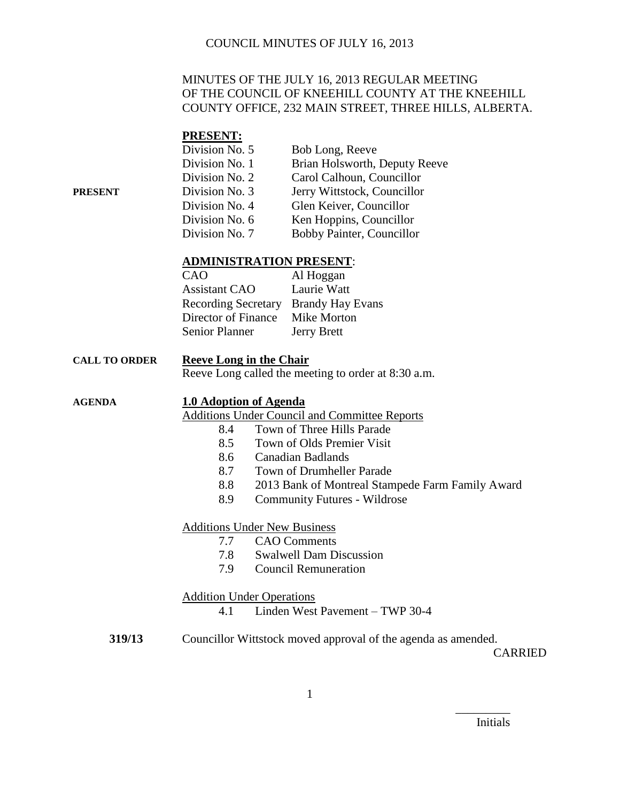### MINUTES OF THE JULY 16, 2013 REGULAR MEETING OF THE COUNCIL OF KNEEHILL COUNTY AT THE KNEEHILL COUNTY OFFICE, 232 MAIN STREET, THREE HILLS, ALBERTA.

#### **PRESENT:**

|         | Division No. 5 | Bob Long, Reeve               |
|---------|----------------|-------------------------------|
|         | Division No. 1 | Brian Holsworth, Deputy Reeve |
|         | Division No. 2 | Carol Calhoun, Councillor     |
| PRESENT | Division No. 3 | Jerry Wittstock, Councillor   |
|         | Division No. 4 | Glen Keiver, Councillor       |
|         | Division No. 6 | Ken Hoppins, Councillor       |
|         | Division No. 7 | Bobby Painter, Councillor     |

### **ADMINISTRATION PRESENT**:

| CAO                                  | Al Hoggan          |
|--------------------------------------|--------------------|
| <b>Assistant CAO</b>                 | Laurie Watt        |
| Recording Secretary Brandy Hay Evans |                    |
| Director of Finance                  | Mike Morton        |
| <b>Senior Planner</b>                | <b>Jerry Brett</b> |

#### **CALL TO ORDER Reeve Long in the Chair**

Reeve Long called the meeting to order at 8:30 a.m.

### **AGENDA 1.0 Adoption of Agenda**

Additions Under Council and Committee Reports

- 8.4 Town of Three Hills Parade
- 8.5 Town of Olds Premier Visit
- 8.6 Canadian Badlands
- 8.7 Town of Drumheller Parade
- 8.8 2013 Bank of Montreal Stampede Farm Family Award
- 8.9 Community Futures Wildrose

#### Additions Under New Business

- 7.7 CAO Comments
- 7.8 Swalwell Dam Discussion
- 7.9 Council Remuneration

#### Addition Under Operations

- 4.1 Linden West Pavement TWP 30-4
- **319/13** Councillor Wittstock moved approval of the agenda as amended.

CARRIED

Initials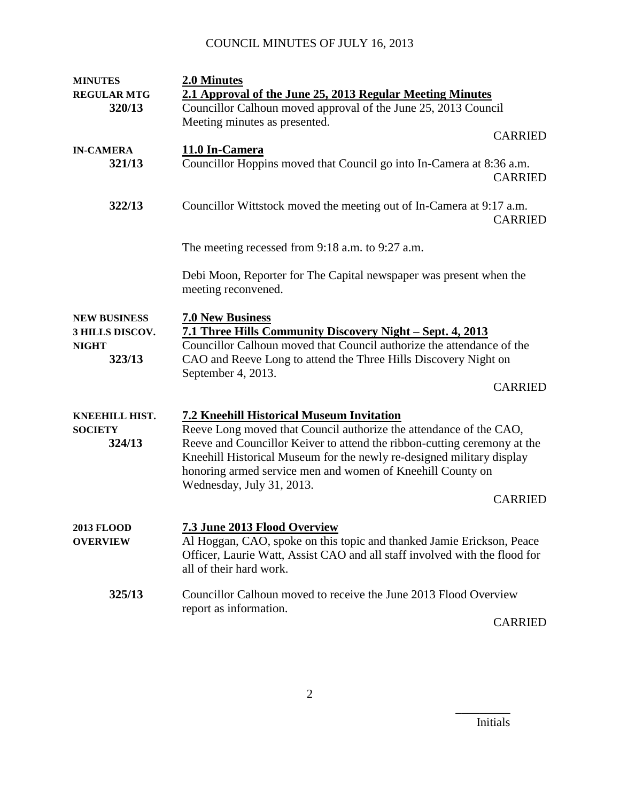| <b>MINUTES</b>      | 2.0 Minutes                                                                                                                                                                    |                |
|---------------------|--------------------------------------------------------------------------------------------------------------------------------------------------------------------------------|----------------|
| <b>REGULAR MTG</b>  | 2.1 Approval of the June 25, 2013 Regular Meeting Minutes                                                                                                                      |                |
| 320/13              | Councillor Calhoun moved approval of the June 25, 2013 Council                                                                                                                 |                |
|                     | Meeting minutes as presented.                                                                                                                                                  |                |
|                     |                                                                                                                                                                                | <b>CARRIED</b> |
| <b>IN-CAMERA</b>    | 11.0 In-Camera                                                                                                                                                                 |                |
| 321/13              | Councillor Hoppins moved that Council go into In-Camera at 8:36 a.m.                                                                                                           | <b>CARRIED</b> |
| 322/13              | Councillor Wittstock moved the meeting out of In-Camera at 9:17 a.m.                                                                                                           | <b>CARRIED</b> |
|                     | The meeting recessed from 9:18 a.m. to 9:27 a.m.                                                                                                                               |                |
|                     | Debi Moon, Reporter for The Capital newspaper was present when the<br>meeting reconvened.                                                                                      |                |
| <b>NEW BUSINESS</b> | <b>7.0 New Business</b>                                                                                                                                                        |                |
| 3 HILLS DISCOV.     | 7.1 Three Hills Community Discovery Night – Sept. 4, 2013                                                                                                                      |                |
| <b>NIGHT</b>        | Councillor Calhoun moved that Council authorize the attendance of the                                                                                                          |                |
| 323/13              | CAO and Reeve Long to attend the Three Hills Discovery Night on                                                                                                                |                |
|                     | September 4, 2013.                                                                                                                                                             |                |
|                     |                                                                                                                                                                                | <b>CARRIED</b> |
| KNEEHILL HIST.      | <b>7.2 Kneehill Historical Museum Invitation</b>                                                                                                                               |                |
| <b>SOCIETY</b>      | Reeve Long moved that Council authorize the attendance of the CAO,                                                                                                             |                |
| 324/13              | Reeve and Councillor Keiver to attend the ribbon-cutting ceremony at the                                                                                                       |                |
|                     | Kneehill Historical Museum for the newly re-designed military display                                                                                                          |                |
|                     | honoring armed service men and women of Kneehill County on                                                                                                                     |                |
|                     | Wednesday, July 31, 2013.                                                                                                                                                      |                |
|                     |                                                                                                                                                                                | <b>CARRIED</b> |
| <b>2013 FLOOD</b>   | <b>7.3 June 2013 Flood Overview</b>                                                                                                                                            |                |
| <b>OVERVIEW</b>     | Al Hoggan, CAO, spoke on this topic and thanked Jamie Erickson, Peace<br>Officer, Laurie Watt, Assist CAO and all staff involved with the flood for<br>all of their hard work. |                |
| 325/13              | Councillor Calhoun moved to receive the June 2013 Flood Overview                                                                                                               |                |
|                     | report as information.                                                                                                                                                         | <b>CARRIED</b> |

Initials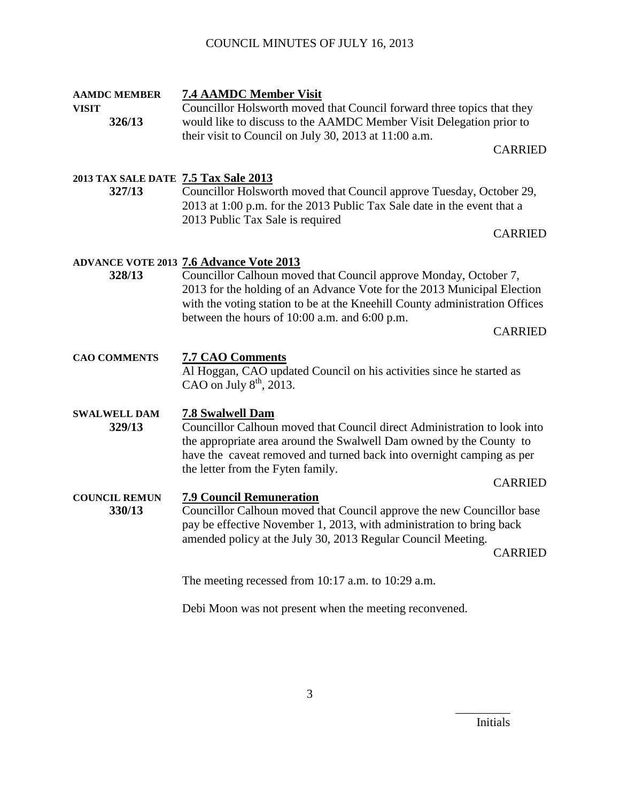| <b>AAMDC MEMBER</b><br><b>VISIT</b><br>326/13  | <b>7.4 AAMDC Member Visit</b><br>Councillor Holsworth moved that Council forward three topics that they<br>would like to discuss to the AAMDC Member Visit Delegation prior to<br>their visit to Council on July 30, 2013 at 11:00 a.m.<br><b>CARRIED</b>                                                                                       |  |
|------------------------------------------------|-------------------------------------------------------------------------------------------------------------------------------------------------------------------------------------------------------------------------------------------------------------------------------------------------------------------------------------------------|--|
| 2013 TAX SALE DATE 7.5 Tax Sale 2013<br>327/13 | Councillor Holsworth moved that Council approve Tuesday, October 29,<br>2013 at 1:00 p.m. for the 2013 Public Tax Sale date in the event that a<br>2013 Public Tax Sale is required<br><b>CARRIED</b>                                                                                                                                           |  |
| 328/13                                         | <b>ADVANCE VOTE 2013 7.6 Advance Vote 2013</b><br>Councillor Calhoun moved that Council approve Monday, October 7,<br>2013 for the holding of an Advance Vote for the 2013 Municipal Election<br>with the voting station to be at the Kneehill County administration Offices<br>between the hours of 10:00 a.m. and 6:00 p.m.<br><b>CARRIED</b> |  |
| <b>CAO COMMENTS</b>                            | <b>7.7 CAO Comments</b><br>Al Hoggan, CAO updated Council on his activities since he started as<br>CAO on July $8th$ , 2013.                                                                                                                                                                                                                    |  |
| <b>SWALWELL DAM</b><br>329/13                  | <b>7.8 Swalwell Dam</b><br>Councillor Calhoun moved that Council direct Administration to look into<br>the appropriate area around the Swalwell Dam owned by the County to<br>have the caveat removed and turned back into overnight camping as per<br>the letter from the Fyten family.<br><b>CARRIED</b>                                      |  |
| <b>COUNCIL REMUN</b><br>330/13                 | <b>7.9 Council Remuneration</b><br>Councillor Calhoun moved that Council approve the new Councillor base<br>pay be effective November 1, 2013, with administration to bring back<br>amended policy at the July 30, 2013 Regular Council Meeting.<br><b>CARRIED</b>                                                                              |  |
|                                                | The meeting recessed from $10:17$ a.m. to $10:29$ a.m.                                                                                                                                                                                                                                                                                          |  |

Debi Moon was not present when the meeting reconvened.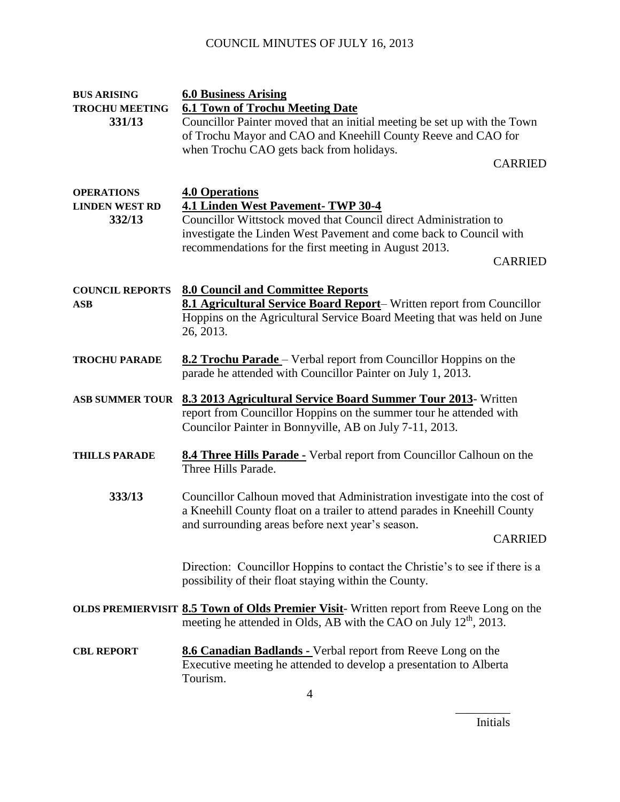| <b>BUS ARISING</b>              | <b>6.0 Business Arising</b>                                                                                                                                             |
|---------------------------------|-------------------------------------------------------------------------------------------------------------------------------------------------------------------------|
| <b>TROCHU MEETING</b><br>331/13 | <b>6.1 Town of Trochu Meeting Date</b><br>Councillor Painter moved that an initial meeting be set up with the Town                                                      |
|                                 | of Trochu Mayor and CAO and Kneehill County Reeve and CAO for                                                                                                           |
|                                 | when Trochu CAO gets back from holidays.                                                                                                                                |
|                                 | <b>CARRIED</b>                                                                                                                                                          |
|                                 |                                                                                                                                                                         |
| <b>OPERATIONS</b>               | <b>4.0 Operations</b>                                                                                                                                                   |
| <b>LINDEN WEST RD</b>           | 4.1 Linden West Pavement-TWP 30-4                                                                                                                                       |
| 332/13                          | Councillor Wittstock moved that Council direct Administration to                                                                                                        |
|                                 | investigate the Linden West Pavement and come back to Council with                                                                                                      |
|                                 | recommendations for the first meeting in August 2013.                                                                                                                   |
|                                 | <b>CARRIED</b>                                                                                                                                                          |
| <b>COUNCIL REPORTS</b>          | <b>8.0 Council and Committee Reports</b>                                                                                                                                |
| <b>ASB</b>                      | 8.1 Agricultural Service Board Report- Written report from Councillor                                                                                                   |
|                                 | Hoppins on the Agricultural Service Board Meeting that was held on June                                                                                                 |
|                                 | 26, 2013.                                                                                                                                                               |
|                                 |                                                                                                                                                                         |
| <b>TROCHU PARADE</b>            | <b>8.2 Trochu Parade</b> – Verbal report from Councillor Hoppins on the                                                                                                 |
|                                 | parade he attended with Councillor Painter on July 1, 2013.                                                                                                             |
| <b>ASB SUMMER TOUR</b>          | 8.3 2013 Agricultural Service Board Summer Tour 2013- Written                                                                                                           |
|                                 | report from Councillor Hoppins on the summer tour he attended with                                                                                                      |
|                                 | Councilor Painter in Bonnyville, AB on July 7-11, 2013.                                                                                                                 |
|                                 |                                                                                                                                                                         |
| <b>THILLS PARADE</b>            | <b>8.4 Three Hills Parade -</b> Verbal report from Councillor Calhoun on the                                                                                            |
|                                 | Three Hills Parade.                                                                                                                                                     |
| 333/13                          |                                                                                                                                                                         |
|                                 | Councillor Calhoun moved that Administration investigate into the cost of<br>a Kneehill County float on a trailer to attend parades in Kneehill County                  |
|                                 | and surrounding areas before next year's season.                                                                                                                        |
|                                 | <b>CARRIED</b>                                                                                                                                                          |
|                                 |                                                                                                                                                                         |
|                                 | Direction: Councillor Hoppins to contact the Christie's to see if there is a                                                                                            |
|                                 | possibility of their float staying within the County.                                                                                                                   |
|                                 |                                                                                                                                                                         |
|                                 | OLDS PREMIERVISIT 8.5 Town of Olds Premier Visit-Written report from Reeve Long on the<br>meeting he attended in Olds, AB with the CAO on July 12 <sup>th</sup> , 2013. |
|                                 |                                                                                                                                                                         |
| <b>CBL REPORT</b>               | 8.6 Canadian Badlands - Verbal report from Reeve Long on the                                                                                                            |
|                                 | Executive meeting he attended to develop a presentation to Alberta                                                                                                      |
|                                 | Tourism.                                                                                                                                                                |
|                                 | 4                                                                                                                                                                       |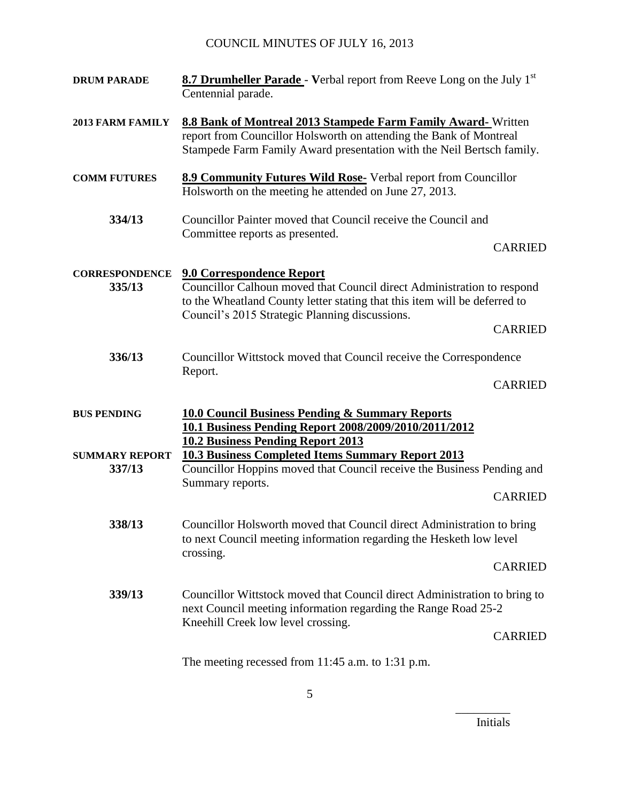| <b>DRUM PARADE</b>              | 8.7 Drumheller Parade - Verbal report from Reeve Long on the July 1st<br>Centennial parade.                                                                                                                                               |                |
|---------------------------------|-------------------------------------------------------------------------------------------------------------------------------------------------------------------------------------------------------------------------------------------|----------------|
| 2013 FARM FAMILY                | <b>8.8 Bank of Montreal 2013 Stampede Farm Family Award-</b> Written<br>report from Councillor Holsworth on attending the Bank of Montreal<br>Stampede Farm Family Award presentation with the Neil Bertsch family.                       |                |
| <b>COMM FUTURES</b>             | 8.9 Community Futures Wild Rose- Verbal report from Councillor<br>Holsworth on the meeting he attended on June 27, 2013.                                                                                                                  |                |
| 334/13                          | Councillor Painter moved that Council receive the Council and<br>Committee reports as presented.                                                                                                                                          | <b>CARRIED</b> |
| <b>CORRESPONDENCE</b><br>335/13 | <b>9.0 Correspondence Report</b><br>Councillor Calhoun moved that Council direct Administration to respond<br>to the Wheatland County letter stating that this item will be deferred to<br>Council's 2015 Strategic Planning discussions. | <b>CARRIED</b> |
| 336/13                          | Councillor Wittstock moved that Council receive the Correspondence<br>Report.                                                                                                                                                             | <b>CARRIED</b> |
| <b>BUS PENDING</b>              | <b>10.0 Council Business Pending &amp; Summary Reports</b><br>10.1 Business Pending Report 2008/2009/2010/2011/2012<br><b>10.2 Business Pending Report 2013</b>                                                                           |                |
| <b>SUMMARY REPORT</b><br>337/13 | <b>10.3 Business Completed Items Summary Report 2013</b><br>Councillor Hoppins moved that Council receive the Business Pending and<br>Summary reports.                                                                                    | <b>CARRIED</b> |
| 338/13                          | Councillor Holsworth moved that Council direct Administration to bring<br>to next Council meeting information regarding the Hesketh low level<br>crossing.                                                                                | <b>CARRIED</b> |
| 339/13                          | Councillor Wittstock moved that Council direct Administration to bring to<br>next Council meeting information regarding the Range Road 25-2<br>Kneehill Creek low level crossing.                                                         | <b>CARRIED</b> |
|                                 | The meeting recessed from 11:45 a.m. to 1:31 p.m.                                                                                                                                                                                         |                |

Initials